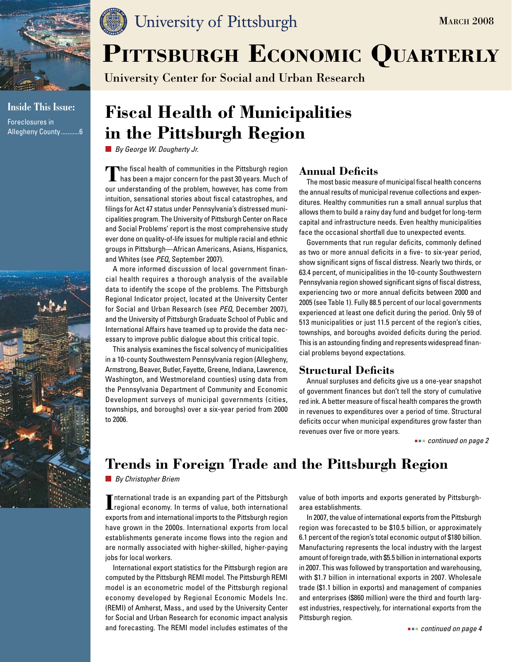

**Inside This Issue:**  Foreclosures in Allegheny County...........6



## University of Pittsburgh

University Center for Social and Urban Research

# **Fiscal Health of Municipalities in the Pittsburgh Region**

*By George W. Dougherty Jr.*

**The fiscal health of communities in the Pittsburgh region**<br>has been a major concern for the past 30 years. Much of our understanding of the problem, however, has come from intuition, sensational stories about fiscal catastrophes, and filings for Act 47 status under Pennsylvania's distressed municipalities program. The University of Pittsburgh Center on Race and Social Problems' report is the most comprehensive study ever done on quality-of-life issues for multiple racial and ethnic groups in Pittsburgh—African Americans, Asians, Hispanics, and Whites (see *PEQ*, September 2007).

A more informed discussion of local government financial health requires a thorough analysis of the available data to identify the scope of the problems. The Pittsburgh Regional Indicator project, located at the University Center for Social and Urban Research (see *PEQ*, December 2007), and the University of Pittsburgh Graduate School of Public and International Affairs have teamed up to provide the data necessary to improve public dialogue about this critical topic.

This analysis examines the fiscal solvency of municipalities in a 10-county Southwestern Pennsylvania region (Allegheny, Armstrong, Beaver, Butler, Fayette, Greene, Indiana, Lawrence, Washington, and Westmoreland counties) using data from the Pennsylvania Department of Community and Economic Development surveys of municipal governments (cities, townships, and boroughs) over a six-year period from 2000 to 2006.

## **Annual Deficits**

The most basic measure of municipal fiscal health concerns the annual results of municipal revenue collections and expenditures. Healthy communities run a small annual surplus that allows them to build a rainy day fund and budget for long-term capital and infrastructure needs. Even healthy municipalities face the occasional shortfall due to unexpected events.

Governments that run regular deficits, commonly defined as two or more annual deficits in a five- to six-year period, show significant signs of fiscal distress. Nearly two thirds, or 63.4 percent, of municipalities in the 10-county Southwestern Pennsylvania region showed significant signs of fiscal distress, experiencing two or more annual deficits between 2000 and 2005 (see Table 1). Fully 88.5 percent of our local governments experienced at least one deficit during the period. Only 59 of 513 municipalities or just 11.5 percent of the region's cities, townships, and boroughs avoided deficits during the period. This is an astounding finding and represents widespread financial problems beyond expectations.

## **Structural Deficits**

Annual surpluses and deficits give us a one-year snapshot of government finances but don't tell the story of cumulative red ink. A better measure of fiscal health compares the growth in revenues to expenditures over a period of time. Structural deficits occur when municipal expenditures grow faster than revenues over five or more years.

 *continued on page 2*

**MARCH 2008** 

## **Trends in Foreign Trade and the Pittsburgh Region**

*By Christopher Briem*

**I I**nternational trade is an expanding part of the Pittsburgh<br> **I I** regional economy. In terms of value, both international nternational trade is an expanding part of the Pittsburgh exports from and international imports to the Pittsburgh region have grown in the 2000s. International exports from local establishments generate income flows into the region and are normally associated with higher-skilled, higher-paying jobs for local workers.

International export statistics for the Pittsburgh region are computed by the Pittsburgh REMI model. The Pittsburgh REMI model is an econometric model of the Pittsburgh regional economy developed by Regional Economic Models Inc. (REMI) of Amherst, Mass., and used by the University Center for Social and Urban Research for economic impact analysis and forecasting. The REMI model includes estimates of the value of both imports and exports generated by Pittsburgharea establishments.

In 2007, the value of international exports from the Pittsburgh region was forecasted to be \$10.5 billion, or approximately 6.1 percent of the region's total economic output of \$180 billion. Manufacturing represents the local industry with the largest amount of foreign trade, with \$5.5 billion in international exports in 2007. This was followed by transportation and warehousing, with \$1.7 billion in international exports in 2007. Wholesale trade (\$1.1 billion in exports) and management of companies and enterprises (\$860 million) were the third and fourth largest industries, respectively, for international exports from the Pittsburgh region.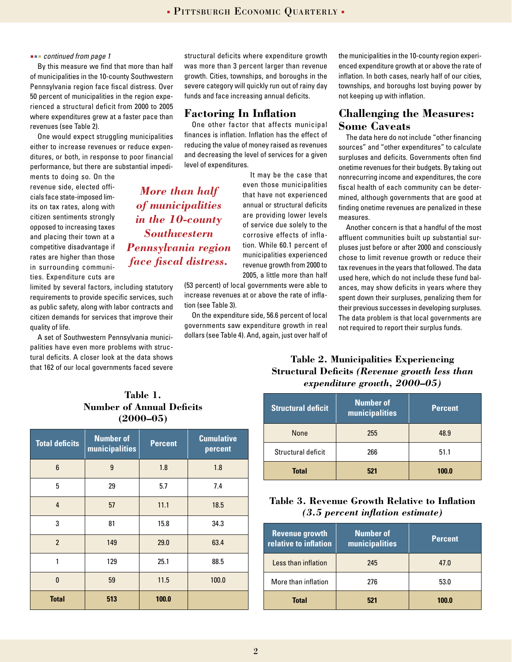#### *continued from page 1*

By this measure we find that more than half of municipalities in the 10-county Southwestern Pennsylvania region face fiscal distress. Over 50 percent of municipalities in the region experienced a structural deficit from 2000 to 2005 where expenditures grew at a faster pace than revenues (see Table 2).

One would expect struggling municipalities either to increase revenues or reduce expenditures, or both, in response to poor financial performance, but there are substantial impedi-

ments to doing so. On the revenue side, elected officials face state-imposed limits on tax rates, along with citizen sentiments strongly opposed to increasing taxes and placing their town at a competitive disadvantage if rates are higher than those in surrounding communities. Expenditure cuts are

limited by several factors, including statutory requirements to provide specific services, such as public safety, along with labor contracts and citizen demands for services that improve their quality of life.

A set of Southwestern Pennsylvania municipalities have even more problems with structural deficits. A closer look at the data shows that 162 of our local governments faced severe

structural deficits where expenditure growth was more than 3 percent larger than revenue growth. Cities, townships, and boroughs in the severe category will quickly run out of rainy day funds and face increasing annual deficits.

#### **Factoring In Inflation**

*More than half of municipalities in the 10-county Southwestern Pennsylvania region face fiscal distress.*

One other factor that affects municipal finances is inflation. Inflation has the effect of reducing the value of money raised as revenues and decreasing the level of services for a given level of expenditures.

> It may be the case that even those municipalities that have not experienced annual or structural deficits are providing lower levels of service due solely to the corrosive effects of inflation. While 60.1 percent of municipalities experienced revenue growth from 2000 to 2005, a little more than half

(53 percent) of local governments were able to increase revenues at or above the rate of inflation (see Table 3).

On the expenditure side, 56.6 percent of local governments saw expenditure growth in real dollars (see Table 4). And, again, just over half of the municipalities in the 10-county region experienced expenditure growth at or above the rate of inflation. In both cases, nearly half of our cities, townships, and boroughs lost buying power by not keeping up with inflation.

## **Challenging the Measures: Some Caveats**

The data here do not include "other financing sources" and "other expenditures" to calculate surpluses and deficits. Governments often find onetime revenues for their budgets. By taking out nonrecurring income and expenditures, the core fiscal health of each community can be determined, although governments that are good at finding onetime revenues are penalized in these measures.

Another concern is that a handful of the most affluent communities built up substantial surpluses just before or after 2000 and consciously chose to limit revenue growth or reduce their tax revenues in the years that followed. The data used here, which do not include these fund balances, may show deficits in years where they spent down their surpluses, penalizing them for their previous successes in developing surpluses. The data problem is that local governments are not required to report their surplus funds.

#### **Table 2. Municipalities Experiencing Structural Deficits** *(Revenue growth less than expenditure growth, 2000–05)*

| <b>Structural deficit</b> | <b>Number of</b><br>municipalities | <b>Percent</b> |
|---------------------------|------------------------------------|----------------|
| None                      | 255                                | 48.9           |
| Structural deficit        | 266                                | 51.1           |
| <b>Total</b>              | 521                                | 100.0          |

### **Table 3. Revenue Growth Relative to Inflation**  *(3.5 percent inflation estimate)*

| <b>Revenue growth</b><br>relative to inflation | Number of<br>municipalities | <b>Percent</b> |
|------------------------------------------------|-----------------------------|----------------|
| Less than inflation                            | 245                         | 47.0           |
| More than inflation                            | 276                         | 53.0           |
| <b>Total</b>                                   | 521                         | 100.0          |

### **Table 1. Number of Annual Deficits (2000–05)**

| <b>Total deficits</b> | <b>Number of</b><br>municipalities | <b>Percent</b> | <b>Cumulative</b><br>percent |
|-----------------------|------------------------------------|----------------|------------------------------|
| $6\phantom{1}$        | 9                                  | 1.8            | 1.8                          |
| 5                     | 29                                 | 5.7            | 7.4                          |
| $\overline{4}$        | 57                                 | 11.1           | 18.5                         |
| 3                     | 81                                 | 15.8           | 34.3                         |
| $\overline{2}$        | 149                                | 29.0           | 63.4                         |
| 1                     | 129                                | 25.1           | 88.5                         |
| $\mathbf{0}$          | 59                                 | 11.5           | 100.0                        |
| <b>Total</b>          | 513                                | 100.0          |                              |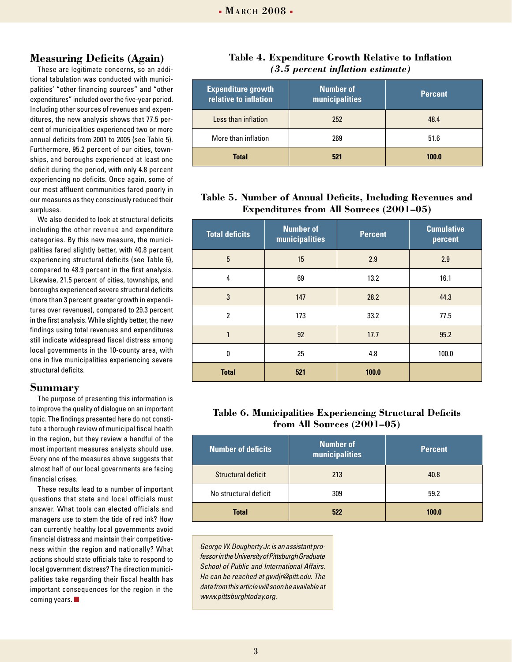### **Measuring Deficits (Again)**

These are legitimate concerns, so an additional tabulation was conducted with municipalities' "other financing sources" and "other expenditures" included over the five-year period. Including other sources of revenues and expenditures, the new analysis shows that 77.5 percent of municipalities experienced two or more annual deficits from 2001 to 2005 (see Table 5). Furthermore, 95.2 percent of our cities, townships, and boroughs experienced at least one deficit during the period, with only 4.8 percent experiencing no deficits. Once again, some of our most affluent communities fared poorly in our measures as they consciously reduced their surpluses.

We also decided to look at structural deficits including the other revenue and expenditure categories. By this new measure, the municipalities fared slightly better, with 40.8 percent experiencing structural deficits (see Table 6), compared to 48.9 percent in the first analysis. Likewise, 21.5 percent of cities, townships, and boroughs experienced severe structural deficits (more than 3 percent greater growth in expenditures over revenues), compared to 29.3 percent in the first analysis. While slightly better, the new findings using total revenues and expenditures still indicate widespread fiscal distress among local governments in the 10-county area, with one in five municipalities experiencing severe structural deficits.

#### **Summary**

The purpose of presenting this information is to improve the quality of dialogue on an important topic. The findings presented here do not constitute a thorough review of municipal fiscal health in the region, but they review a handful of the most important measures analysts should use. Every one of the measures above suggests that almost half of our local governments are facing financial crises.

These results lead to a number of important questions that state and local officials must answer. What tools can elected officials and managers use to stem the tide of red ink? How can currently healthy local governments avoid financial distress and maintain their competitiveness within the region and nationally? What actions should state officials take to respond to local government distress? The direction municipalities take regarding their fiscal health has important consequences for the region in the coming years.

#### **Table 4. Expenditure Growth Relative to Inflation**  *(3.5 percent inflation estimate)*

| <b>Expenditure growth</b><br>relative to inflation | <b>Number of</b><br>municipalities | <b>Percent</b> |
|----------------------------------------------------|------------------------------------|----------------|
| Less than inflation                                | 252                                | 48.4           |
| More than inflation                                | 269                                | 51.6           |
| <b>Total</b>                                       | 521                                | 100.0          |

### **Table 5. Number of Annual Deficits, Including Revenues and Expenditures from All Sources (2001–05)**

| <b>Total deficits</b> | <b>Number of</b><br>municipalities | <b>Percent</b> | <b>Cumulative</b><br>percent |
|-----------------------|------------------------------------|----------------|------------------------------|
| 5                     | 15                                 | 2.9            | 2.9                          |
| 4                     | 69                                 | 13.2           | 16.1                         |
| 3                     | 147                                | 28.2           | 44.3                         |
| $\overline{2}$        | 173                                | 33.2           | 77.5                         |
|                       | 92                                 | 17.7           | 95.2                         |
| 0                     | 25                                 | 4.8            | 100.0                        |
| <b>Total</b>          | 521                                | 100.0          |                              |

### **Table 6. Municipalities Experiencing Structural Deficits from All Sources (2001–05)**

| <b>Number of deficits</b> | <b>Number of</b><br>municipalities | <b>Percent</b> |
|---------------------------|------------------------------------|----------------|
| Structural deficit        | 213                                | 40.8           |
| No structural deficit     | 309                                | 59.2           |
| <b>Total</b>              | 522                                | 100.0          |

*George W. Dougherty Jr. is an assistant professor in the University of Pittsburgh Graduate School of Public and International Affairs. He can be reached at gwdjr@pitt.edu. The data from this article will soon be available at www.pittsburghtoday.org.*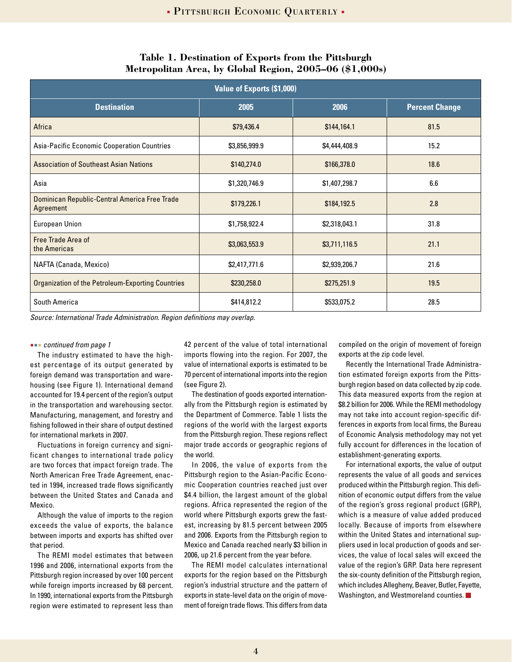| <b>Value of Exports (\$1,000)</b>                          |               |               |                       |  |
|------------------------------------------------------------|---------------|---------------|-----------------------|--|
| <b>Destination</b>                                         | 2005          | 2006          | <b>Percent Change</b> |  |
| Africa                                                     | \$79,436.4    | \$144,164.1   | 81.5                  |  |
| Asia-Pacific Economic Cooperation Countries                | \$3,856,999.9 | \$4,444,408.9 | 15.2                  |  |
| <b>Association of Southeast Asian Nations</b>              | \$140,274.0   | \$166,378.0   | 18.6                  |  |
| Asia                                                       | \$1,320,746.9 | \$1,407,298.7 | 6.6                   |  |
| Dominican Republic-Central America Free Trade<br>Agreement | \$179,226.1   | \$184,192.5   | 2.8                   |  |
| <b>European Union</b>                                      | \$1,758,922.4 | \$2,318,043.1 | 31.8                  |  |
| Free Trade Area of<br>the Americas                         | \$3,063,553.9 | \$3,711,116.5 | 21.1                  |  |
| NAFTA (Canada, Mexico)                                     | \$2,417,771.6 | \$2,939,206.7 | 21.6                  |  |
| Organization of the Petroleum-Exporting Countries          | \$230,258.0   | \$275,251.9   | 19.5                  |  |
| South America                                              | \$414,812.2   | \$533,075.2   | 28.5                  |  |

#### **Table 1. Destination of Exports from the Pittsburgh Metropolitan Area, by Global Region, 2005–06 (\$1,000s)**

*Source: International Trade Administration. Region definitions may overlap.* 

#### *continued from page 1*

The industry estimated to have the highest percentage of its output generated by foreign demand was transportation and warehousing (see Figure 1). International demand accounted for 19.4 percent of the region's output in the transportation and warehousing sector. Manufacturing, management, and forestry and fishing followed in their share of output destined for international markets in 2007.

Fluctuations in foreign currency and significant changes to international trade policy are two forces that impact foreign trade. The North American Free Trade Agreement, enacted in 1994, increased trade flows significantly between the United States and Canada and Mexico.

Although the value of imports to the region exceeds the value of exports, the balance between imports and exports has shifted over that period.

The REMI model estimates that between 1996 and 2006, international exports from the Pittsburgh region increased by over 100 percent while foreign imports increased by 68 percent. In 1990, international exports from the Pittsburgh region were estimated to represent less than

42 percent of the value of total international imports flowing into the region. For 2007, the value of international exports is estimated to be 70 percent of international imports into the region (see Figure 2).

The destination of goods exported internationally from the Pittsburgh region is estimated by the Department of Commerce. Table 1 lists the regions of the world with the largest exports from the Pittsburgh region. These regions reflect major trade accords or geographic regions of the world.

In 2006, the value of exports from the Pittsburgh region to the Asian-Pacific Economic Cooperation countries reached just over \$4.4 billion, the largest amount of the global regions. Africa represented the region of the world where Pittsburgh exports grew the fastest, increasing by 81.5 percent between 2005 and 2006. Exports from the Pittsburgh region to Mexico and Canada reached nearly \$3 billion in 2006, up 21.6 percent from the year before.

The REMI model calculates international exports for the region based on the Pittsburgh region's industrial structure and the pattern of exports in state-level data on the origin of movement of foreign trade flows. This differs from data

compiled on the origin of movement of foreign exports at the zip code level.

Recently the International Trade Administration estimated foreign exports from the Pittsburgh region based on data collected by zip code. This data measured exports from the region at \$8.2 billion for 2006. While the REMI methodology may not take into account region-specific differences in exports from local firms, the Bureau of Economic Analysis methodology may not yet fully account for differences in the location of establishment-generating exports.

For international exports, the value of output represents the value of all goods and services produced within the Pittsburgh region. This definition of economic output differs from the value of the region's gross regional product (GRP), which is a measure of value added produced locally. Because of imports from elsewhere within the United States and international suppliers used in local production of goods and services, the value of local sales will exceed the value of the region's GRP. Data here represent the six-county definition of the Pittsburgh region, which includes Allegheny, Beaver, Butler, Fayette, Washington, and Westmoreland counties.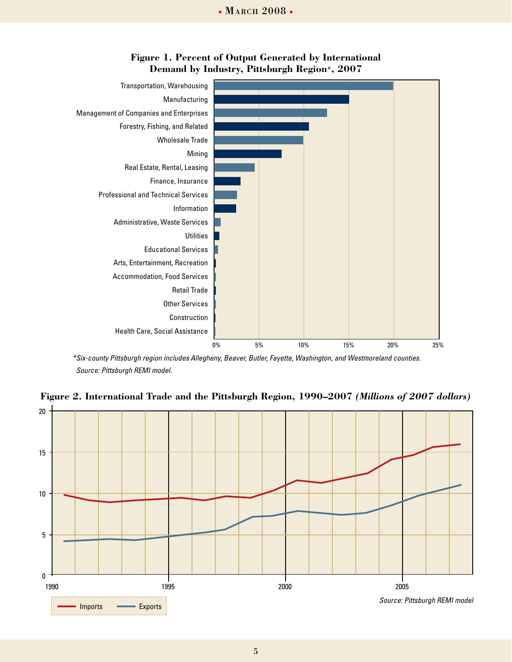

## **Figure 1. Percent of Output Generated by International Demand by Industry, Pittsburgh Region\*, 2007**

*\*Six-county Pittsburgh region includes Allegheny, Beaver, Butler, Fayette, Washington, and Westmoreland counties. Source: Pittsburgh REMI model.*



**Figure 2. International Trade and the Pittsburgh Region, 1990–2007** *(Millions of 2007 dollars)*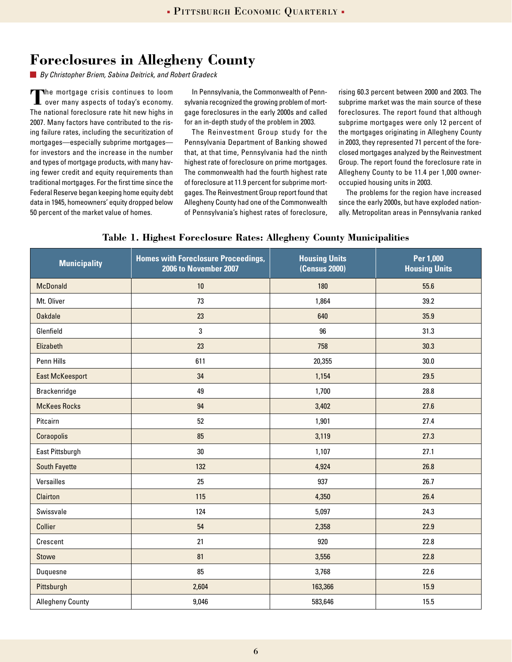## **Foreclosures in Allegheny County**

*By Christopher Briem, Sabina Deitrick, and Robert Gradeck*

**The mortgage crisis continues to loom**<br>over many aspects of today's economy over many aspects of today's economy. The national foreclosure rate hit new highs in 2007. Many factors have contributed to the rising failure rates, including the securitization of mortgages—especially subprime mortgages for investors and the increase in the number and types of mortgage products, with many having fewer credit and equity requirements than traditional mortgages. For the first time since the Federal Reserve began keeping home equity debt data in 1945, homeowners' equity dropped below 50 percent of the market value of homes.

In Pennsylvania, the Commonwealth of Pennsylvania recognized the growing problem of mortgage foreclosures in the early 2000s and called for an in-depth study of the problem in 2003.

The Reinvestment Group study for the Pennsylvania Department of Banking showed that, at that time, Pennsylvania had the ninth highest rate of foreclosure on prime mortgages. The commonwealth had the fourth highest rate of foreclosure at 11.9 percent for subprime mortgages. The Reinvestment Group report found that Allegheny County had one of the Commonwealth of Pennsylvania's highest rates of foreclosure,

rising 60.3 percent between 2000 and 2003. The subprime market was the main source of these foreclosures. The report found that although subprime mortgages were only 12 percent of the mortgages originating in Allegheny County in 2003, they represented 71 percent of the foreclosed mortgages analyzed by the Reinvestment Group. The report found the foreclosure rate in Allegheny County to be 11.4 per 1,000 owneroccupied housing units in 2003.

The problems for the region have increased since the early 2000s, but have exploded nationally. Metropolitan areas in Pennsylvania ranked

|  |  |  | Table 1. Highest Foreclosure Rates: Allegheny County Municipalities |
|--|--|--|---------------------------------------------------------------------|
|  |  |  |                                                                     |

| <b>Municipality</b>     | <b>Homes with Foreclosure Proceedings,</b><br>2006 to November 2007 | <b>Housing Units</b><br><b>(Census 2000)</b> | Per 1,000<br><b>Housing Units</b> |
|-------------------------|---------------------------------------------------------------------|----------------------------------------------|-----------------------------------|
| <b>McDonald</b>         | 10                                                                  | 180                                          | 55.6                              |
| Mt. Oliver              | 73                                                                  | 1,864                                        | 39.2                              |
| <b>Oakdale</b>          | 23                                                                  | 640                                          | 35.9                              |
| Glenfield               | 3                                                                   | 96                                           | 31.3                              |
| Elizabeth               | 23                                                                  | 758                                          | 30.3                              |
| Penn Hills              | 611                                                                 | 20,355                                       | 30.0                              |
| <b>East McKeesport</b>  | 34                                                                  | 1,154                                        | 29.5                              |
| Brackenridge            | 49                                                                  | 1,700                                        | 28.8                              |
| <b>McKees Rocks</b>     | 94                                                                  | 3,402                                        | 27.6                              |
| Pitcairn                | 52                                                                  | 1,901                                        | 27.4                              |
| Coraopolis              | 85                                                                  | 3,119                                        | 27.3                              |
| East Pittsburgh         | 30                                                                  | 1,107                                        | 27.1                              |
| <b>South Fayette</b>    | 132                                                                 | 4,924                                        | 26.8                              |
| Versailles              | 25                                                                  | 937                                          | 26.7                              |
| Clairton                | 115                                                                 | 4,350                                        | 26.4                              |
| Swissvale               | 124                                                                 | 5,097                                        | 24.3                              |
| Collier                 | 54                                                                  | 2,358                                        | 22.9                              |
| Crescent                | 21                                                                  | 920                                          | 22.8                              |
| <b>Stowe</b>            | 81                                                                  | 3,556                                        | 22.8                              |
| Duquesne                | 85                                                                  | 3,768                                        | 22.6                              |
| Pittsburgh              | 2,604                                                               | 163,366                                      | 15.9                              |
| <b>Allegheny County</b> | 9,046                                                               | 583,646                                      | 15.5                              |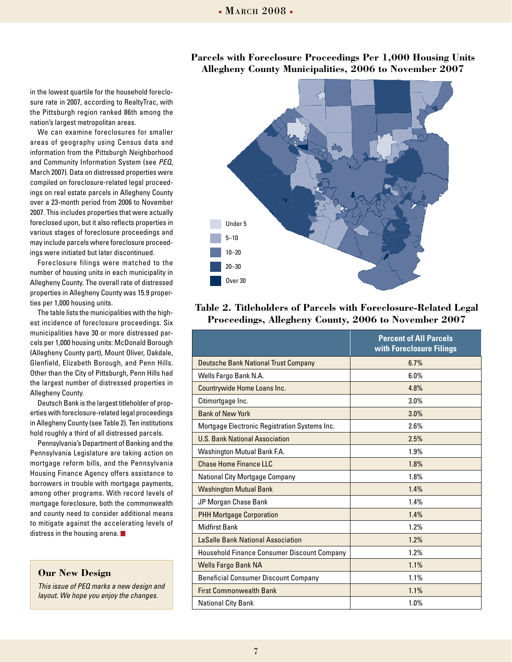#### **Parcels with Foreclosure Proceedings Per 1,000 Housing Units Allegheny County Municipalities, 2006 to November 2007**

in the lowest quartile for the household foreclosure rate in 2007, according to RealtyTrac, with the Pittsburgh region ranked 86th among the nation's largest metropolitan areas.

We can examine foreclosures for smaller areas of geography using Census data and information from the Pittsburgh Neighborhood and Community Information System (see *PEQ*, March 2007). Data on distressed properties were compiled on foreclosure-related legal proceedings on real estate parcels in Allegheny County over a 23-month period from 2006 to November 2007. This includes properties that were actually foreclosed upon, but it also reflects properties in various stages of foreclosure proceedings and may include parcels where foreclosure proceedings were initiated but later discontinued.

Foreclosure filings were matched to the number of housing units in each municipality in Allegheny County. The overall rate of distressed properties in Allegheny County was 15.9 properties per 1,000 housing units.

The table lists the municipalities with the highest incidence of foreclosure proceedings. Six municipalities have 30 or more distressed parcels per 1,000 housing units: McDonald Borough (Allegheny County part), Mount Oliver, Oakdale, Glenfield, Elizabeth Borough, and Penn Hills. Other than the City of Pittsburgh, Penn Hills had the largest number of distressed properties in Allegheny County.

Deutsch Bank is the largest titleholder of properties with foreclosure-related legal proceedings in Allegheny County (see Table 2). Ten institutions hold roughly a third of all distressed parcels.

Pennsylvania's Department of Banking and the Pennsylvania Legislature are taking action on mortgage reform bills, and the Pennsylvania Housing Finance Agency offers assistance to borrowers in trouble with mortgage payments, among other programs. With record levels of mortgage foreclosure, both the commonwealth and county need to consider additional means to mitigate against the accelerating levels of distress in the housing arena.

#### **Our New Design**

*This issue of PEQ marks a new design and layout. We hope you enjoy the changes.*



### **Table 2. Titleholders of Parcels with Foreclosure-Related Legal Proceedings, Allegheny County, 2006 to November 2007**

|                                                    | <b>Percent of All Parcels</b><br>with Foreclosure Filings |
|----------------------------------------------------|-----------------------------------------------------------|
| <b>Deutsche Bank National Trust Company</b>        | 6.7%                                                      |
| Wells Fargo Bank N.A.                              | 6.0%                                                      |
| Countrywide Home Loans Inc.                        | 4.8%                                                      |
| Citimortgage Inc.                                  | 3.0%                                                      |
| <b>Bank of New York</b>                            | 3.0%                                                      |
| Mortgage Electronic Registration Systems Inc.      | 2.6%                                                      |
| <b>U.S. Bank National Association</b>              | 2.5%                                                      |
| Washington Mutual Bank F.A.                        | 1.9%                                                      |
| <b>Chase Home Finance LLC</b>                      | 1.8%                                                      |
| National City Mortgage Company                     | 1.8%                                                      |
| <b>Washington Mutual Bank</b>                      | 1.4%                                                      |
| JP Morgan Chase Bank                               | 1.4%                                                      |
| <b>PHH Mortgage Corporation</b>                    | 1.4%                                                      |
| <b>Midfirst Bank</b>                               | 1.2%                                                      |
| <b>LaSalle Bank National Association</b>           | 1.2%                                                      |
| <b>Household Finance Consumer Discount Company</b> | 1.2%                                                      |
| Wells Fargo Bank NA                                | 1.1%                                                      |
| <b>Beneficial Consumer Discount Company</b>        | 1.1%                                                      |
| <b>First Commonwealth Bank</b>                     | $1.1\%$                                                   |
| <b>National City Bank</b>                          | 1.0%                                                      |